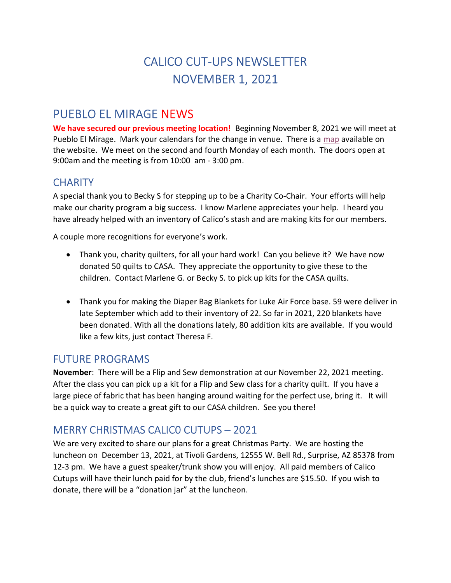# CALICO CUT-UPS NEWSLETTER NOVEMBER 1, 2021

## PUEBLO EL MIRAGE NEWS

We have secured our previous meeting location! Beginning November 8, 2021 we will meet at Pueblo El Mirage. Mark your calendars for the change in venue. There is a map available on the website. We meet on the second and fourth Monday of each month. The doors open at 9:00am and the meeting is from 10:00 am - 3:00 pm.

## **CHARITY**

A special thank you to Becky S for stepping up to be a Charity Co-Chair. Your efforts will help make our charity program a big success. I know Marlene appreciates your help. I heard you have already helped with an inventory of Calico's stash and are making kits for our members.

A couple more recognitions for everyone's work.

- Thank you, charity quilters, for all your hard work! Can you believe it? We have now donated 50 quilts to CASA. They appreciate the opportunity to give these to the children. Contact Marlene G. or Becky S. to pick up kits for the CASA quilts.
- Thank you for making the Diaper Bag Blankets for Luke Air Force base. 59 were deliver in late September which add to their inventory of 22. So far in 2021, 220 blankets have been donated. With all the donations lately, 80 addition kits are available. If you would like a few kits, just contact Theresa F.

### FUTURE PROGRAMS

November: There will be a Flip and Sew demonstration at our November 22, 2021 meeting. After the class you can pick up a kit for a Flip and Sew class for a charity quilt. If you have a large piece of fabric that has been hanging around waiting for the perfect use, bring it. It will be a quick way to create a great gift to our CASA children. See you there!

## MERRY CHRISTMAS CALIC0 CUTUPS – 2021

We are very excited to share our plans for a great Christmas Party. We are hosting the luncheon on December 13, 2021, at Tivoli Gardens, 12555 W. Bell Rd., Surprise, AZ 85378 from 12-3 pm. We have a guest speaker/trunk show you will enjoy. All paid members of Calico Cutups will have their lunch paid for by the club, friend's lunches are \$15.50. If you wish to donate, there will be a "donation jar" at the luncheon.